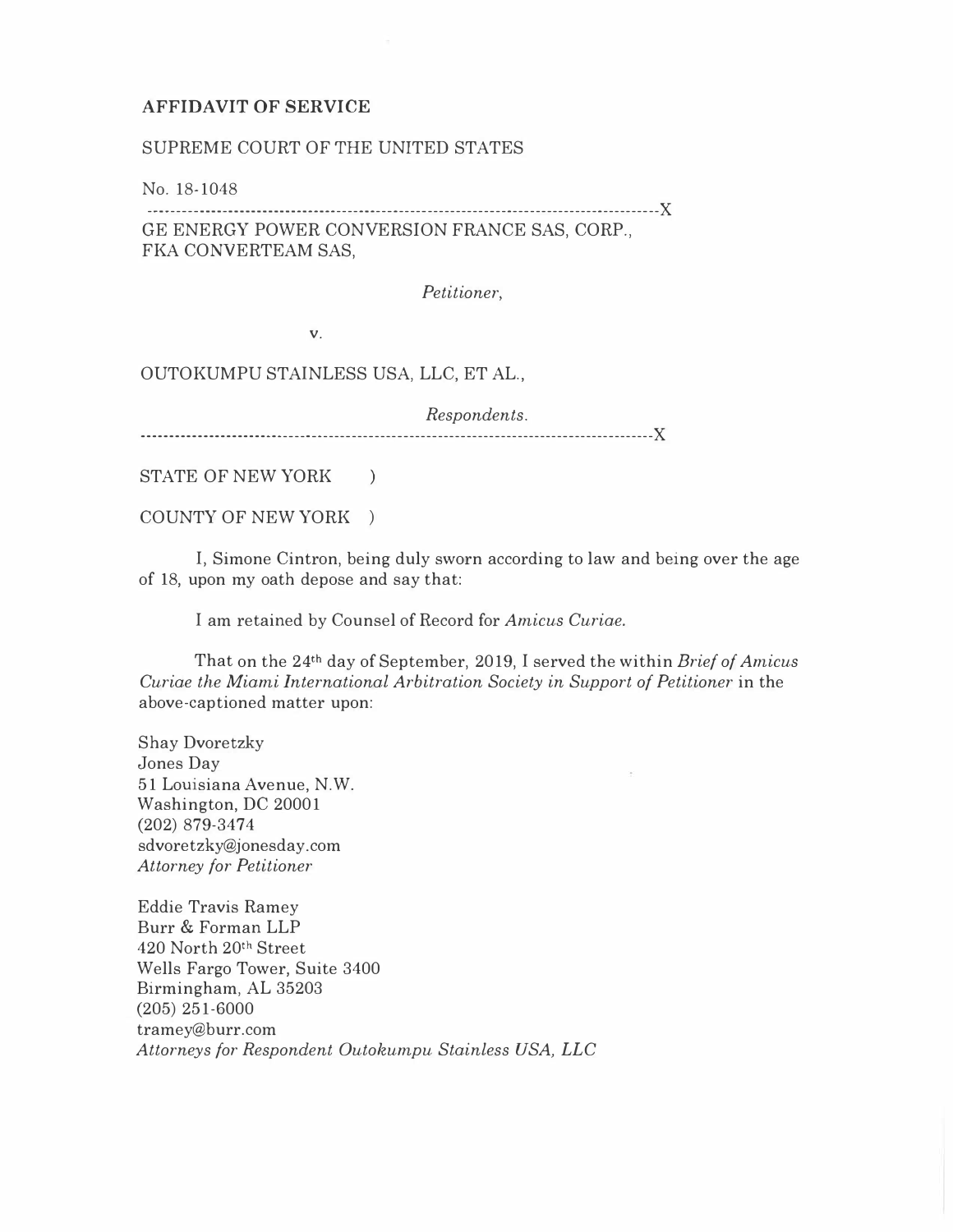## AFFIDAVIT OF SERVICE

## SUPREME COURT OF THE UNITED STATES

No. 18-1048

------------------------------------------------------------------------------------------}( GE ENERGY POWER CONVERSION FRANCE SAS, CORP., FKA CONVERTEAM SAS,

Petitioner,

v.

OUTOKUMPU STAINLESS USA, LLC, ET AL.,

Respondents. ------------------------------------------------------------------------------------------}(

STATE OF NEW YORK )

COUNTY OF NEW YORK )

I, Simone Cintron, being duly sworn according to law and being over the age of 18, upon my oath depose and say that:

I am retained by Counsel of Record for Amicus Curiae.

That on the 24th day of September, 2019, I served the within Brief of Amicus Curiae the Miami International Arbitration Society in Support of Petitioner in the above-captioned matter upon:

Shay Dvoretzky Jones Day 51 Louisiana Avenue, N.W. Washington, DC 20001 (202) 879-3474 sdvoretzky@jonesday.com Attorney for Petitioner

Eddie Travis Ramey Burr & Forman LLP 420 North 20th Street Wells Fargo Tower, Suite 3400 Birmingham, AL 35203 (205) 251-6000 tramey@burr.com Attorneys for Respondent Outokumpu Stainless USA, LLC